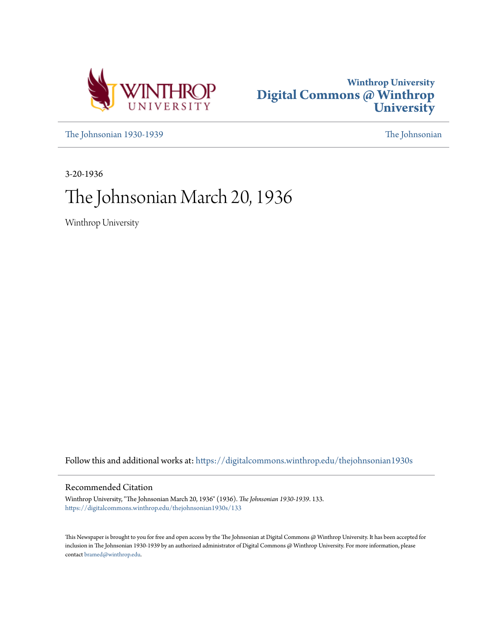



[The Johnsonian 1930-1939](https://digitalcommons.winthrop.edu/thejohnsonian1930s?utm_source=digitalcommons.winthrop.edu%2Fthejohnsonian1930s%2F133&utm_medium=PDF&utm_campaign=PDFCoverPages) [The Johnsonian](https://digitalcommons.winthrop.edu/thejohnsonian_newspaper?utm_source=digitalcommons.winthrop.edu%2Fthejohnsonian1930s%2F133&utm_medium=PDF&utm_campaign=PDFCoverPages)

3-20-1936

# The Johnsonian March 20, 1936

Winthrop University

Follow this and additional works at: [https://digitalcommons.winthrop.edu/thejohnsonian1930s](https://digitalcommons.winthrop.edu/thejohnsonian1930s?utm_source=digitalcommons.winthrop.edu%2Fthejohnsonian1930s%2F133&utm_medium=PDF&utm_campaign=PDFCoverPages)

### Recommended Citation

Winthrop University, "The Johnsonian March 20, 1936" (1936). *The Johnsonian 1930-1939*. 133. [https://digitalcommons.winthrop.edu/thejohnsonian1930s/133](https://digitalcommons.winthrop.edu/thejohnsonian1930s/133?utm_source=digitalcommons.winthrop.edu%2Fthejohnsonian1930s%2F133&utm_medium=PDF&utm_campaign=PDFCoverPages)

This Newspaper is brought to you for free and open access by the The Johnsonian at Digital Commons @ Winthrop University. It has been accepted for inclusion in The Johnsonian 1930-1939 by an authorized administrator of Digital Commons @ Winthrop University. For more information, please contact [bramed@winthrop.edu](mailto:bramed@winthrop.edu).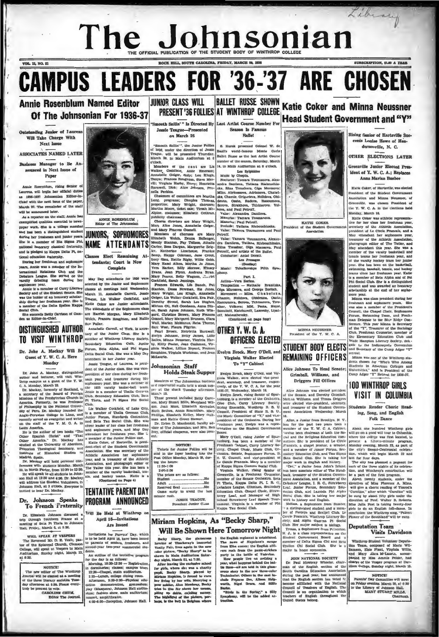# The Johnson Sonidan

# **CAMPUS LEADERS FOR '36-'37 ARE CHOSEN**

**Annie Rosenblum Named Editor** Of The Johnsonian For 1936-37

ng Junior of Iar Will Take Charge With Next Issue

**VOL. 12 NO. 91** 

ASSOCIATES NAMED LATER

Guest of Y. W. C. A. Here

Monday

### Johnson Speaks D. To French Fraternity

### Johnson discussed a Dr. Elizabeth Johnson discus  $ouzh$   $ea$  $\mathbf{u}$ esting of Bela Pi Theta in Johns

WILL SPEAK AT VESPERS

WILL SPEAR AT VENDERS.<br>The Reverend Mr. D. E. Vealu, pas-<br>tor of the Episcopal Church, Clemson<br>College, will speak at Verpers is Main<br>Anditorium, Sunday night, March 22. at  $6:30$ 

### NOTICE!

The new editor of The Winkhrop<br>Journal will be elected at a meeting<br>of the three literary accidies Tues-<br>day afternoon at 4:30. Piense everysent to vote.<br>CAROLINE CRUM,

Editor The Jo



stick cocial cities, the was a single computer

lent of the Junior class, She was vice-

**Monday**<br> **Bestie** Teague, of Laurena, is presi-<br>
nearly desire Teague, of Laurena, is presi-<br>
nearly desire density which president of the Tailor case derive the Tailor case<br>
further and the T.W. Homely president of the

## PROGRAM ANNOUNCED

### Will Be Held at Winthrop April 16-Invitatio Are Issued

na for Parents' Day, wh invitations for Parents' Day, which is to be held April 16, have been issued to parents of seniors, freshmen, and sceone<br>dents.

An outline of the tentative pr or the day is as follows:<br>Morning, 10:30-12:30 -- Regi

in dormitories; classes; campus t 1:15-Lunch, college dining rotar.<br>
Alternoon, 2:39-3:30-Fhysical education<br>
cation demonstration, gymnastum;<br>
cation demonstration, gymnastum;<br>
clus; fashion show, main auditorium;

### BALLET RUSSE SHOWN Katie Coker and Minna Neussner **JUNIOR CLASS WILL** PRESENT'36 FOLLIES AT WINTHROP COLLEGE **Head Student Government and "Y"**

oth Sailln'" Is Directed By Last Artist Course Numb Jessie Teague-Presented<br>on March 26

"Emooth Sailin'". the Junior Follies | S. Hurok presented Colonel W. de of 1939, under the direction of Jessie | Basil's world-famous Monte Curior Teams . Will be presented Thurday, Ballet Hunse as the hast Artist Course

### Johnsonian Staff

NOTICE! Tickets for Junior Pollies will be sold in the foyer leading into the

| $11:30-1:00$                 |
|------------------------------|
| $2100 - 5:00$                |
| The prices are as follows:   |
|                              |
| Adult compresses and all the |
|                              |
| Come early to avoid the last |
| minute rush.                 |

M.<br>JESSIE TEAGUE,<br>President Junior Class

# Miriam Hopkins, As "Becky Sharp," Will Be Shown Here Tomorrow Night The Louis Communication of Maritan Barance and National Transfer<br>and National Transfer and National Transfer and National Transfer<br>and National Transfer and National Transfer and National Transfer<br>and National Transfer and

Bocky Sharp, the glamorous provide with the signal bit the new<br>color picture, "Becky Sharp" to be<br>shown in Main Auditorium Satur-<br>day night, March 21, at 7:30.

day night, March 21, at 7:30.<br>
After feaving the exclusive school for giving the second proping proping the second by proping the second to exert of the first proping the first proping the trial of the second the trial pol r up debis.<br>highlight of

Sesson Is Famous Ballet



Virginia Walker Elected

To "Y" Cabinet

**Johnsonian Start Supper** Feelyn Breek, Mary O'Dell, and Virtual Michael Steeds Cupper Testev, Mary O'Dell, and Virtual of The discussion such as a start of the start of the start of a start of the start of the start of t

March 10.<br>
March 10.<br>
These present included Betty Carry (methods), weak rating Benior of Spart<br>
These present included Betty Carry (methods), when the Ortholdram<br>
Son, Jamy Stuart Mille, Maryland Wil- (piec Club, Carry L

Mary O'Dell, rising Junior of Spar-

amburg, has been a member of the<br>Freshman Cabinet, Curry Literary Society, Chapel Choir, Music Club, Or-

.<br>ds is the Soring," a Silly<br>hony, will be the added at-

ajdr

# the St Assortation



### **STUDENT BODY ELECTS** and or<br>retreat.<br>Minne was one of the Winthrop stu-<br>dents choosen for "Who's Who Among<br>Students in American Colleges and<br>Universities," and is President of the<br>Comp Adger "Y" Retreat for 1996-97. REMAINING OFFICERS

Alice Johnson To Head Senate: Grimball, Williams, and Driggers Fill Offices

Alice Johnson was elected pro Auce Jonnson was exerced presidents<br>of the Senate, and Dorothy Grimball.<br>Meli.sa Williams, and Tressa Driggers<br>were elected vice-president, secretary,<br>and Ireasurer of the Situdent Governnt Association Wednesday, Marel

18.<br>Alice, a Junior from Brooklyn, N.Y. has for the past two years been a member of the Y. W. C. A. Cabinet.

member of the  $X$ , W. C. A. Caltimet. About one bundeed Wintbrop girls<br>increase the state of the SA, when the Robert control of the Bellighton Scheme with control paints. Since the Second with property and paints the stat

First, Chapel Choice, neare Therman, B., omitary measures. S. at the<br>measure of the S. Goundle, and Her peak and Figure and the Second Her peak and Her peak and Her peak and Her peak and the<br>second Her peak and Her peak a  $\hat{a}^{\dagger}$  law, which will begin March 22 and<br>  $\hat{a}^{\dagger}$  law for four days.<br>
The sign has plasmed a pageant for the three mights of its celement<br>  $\hat{a}^{\dagger}$  denotes the three mights only<br>  $\hat{a}^{\dagger}$  denotes the l

"Universe concernements" ("Carolina", "after which "Carolina", "ally player fitty griss under the discussion of Prof. Walker B. Roberts, Miss Julia Post is taking twenty-four griss to do an English following material. In c **Deputation Team** 

JOIN NATIONAL SOCIETY<br>
D. Paul Montery Wheeler, chair-<br>
man of the English section of the<br>
South Carolina Education Association<br>
during the past year, has amounced that<br>
the National<br>
the National<br>
commed of Tenglish secti Council is an organization to whitehers of English throughout<br>United States belong. ut the



**EATTE COKER**  $Mant$   $\Omega$ 

r of Hartsville Sueceeds Louise Howe of Hendersonville, N. C.

CRIPTION, SLOO A YEAR

Library

**OTHER ELECTIONS LATER** 

Greenville Junior Elected President of Y. W. C. A.; Replaces Anna Marian Busbee

tie Coker, of Hartsville, was ele President of the Student Government sovent of the Staternt Governments<br>octation and Minna Neussner, of<br>eenville, was chosen President of Greenville. was chosen President of the checkons abel this Y. W. C. A. in the checkons abel Monday, March 16. Monday, March 16. the form was althlic representa-<br>the form of the Athletic representation of the Athletic Amor the Y. W. C. A. in the clections held

**100 WINTHROP GIRLS** 

VISIT IN COLUMBIA

Students Render Choric Read-

ing, Song, and English

Folk Dance

rop giris

**Visits Davidson** 

er Deputa

Chain

throp Student Volunt

vantativo soumente of Marie Willis, and Mary Alma M'Lauria, accom-<br>panied by Miss Ammie Pelder, had more panied by Miss Ammie Pelder, had

charge of the Vesper program at Dav-idson College, Sunday night, March 15.

NOTICE! NOTICE!<br>Parents' Day Committee will meet<br>on Friday evening, March 20, at 6:30<br>in the Library of Johnson Hall.<br>MARY STUART MILLS,

About one bundred Win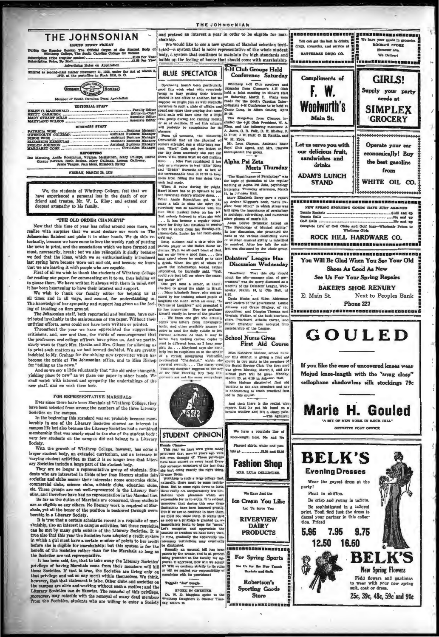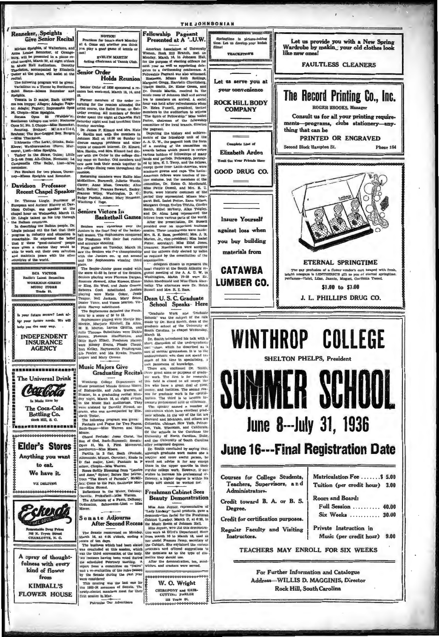Renneker, Speights<br>Give Senior Recital

 $\ddot{\phantom{a}}$ 

via atasa se.

Holds Reu

Senior Order of 1836 sponsored a remion hast week-end, March 13, 14, an

dink Harvey autorituded.<br>The Sophemores defeated the Fresh-<br>nen by a score of 50 to 12.

**Music Majors Give** 

 $\frac{1}{2}$ 

ī,

the Mr

Winthrop College Department of

sic presented Minnle Greene Moore,<br>Bishopville, and Julia Warren, of<br>mer, in a graduating recital Mon-<br>r night, March 16, at eight o'clock,

rium. The

sic Hall Audit

were assisted by Dorothy Stroud, so<br>prano, who was accompanied by Eliz-

irano, who was<br>abelh Tester,<br>The following program was given:<br>Fantasle and Pugue for Two Pianos,<br>TesterBauer—Miss Warren and Miss

au: Come to the Fair, Easthorpe Ma

**Miss Stroud** 

Dedication.

oure.

NOTICE!<br>Practices for tennis

EVELYN MARTIN<br>Acting Chairman of Tennis

availlers for tennis<br>at 6. Come out wheth<br>you play a good game<br>not!

**Iriam Speights, of Walterboro, and** will be presencer, or Orange-<br>tonight, March 20, at eight o'clock<br>fusic Hall Auditorium. Dorothy Music Hall Audi ksion, accompanied by Elizabeth Senior Orde

ial.<br>he following program will be given:<br>irlatious on a Theme by Beethoven,<br>it Saens—Mines Renneker and  $mt$   $R$ 

ia.<br>ata in D major, Bach (Allegro;<br>ataroppo; Allegro; Adagio; Fuga-<br>lagio; Fugue); Imprompiu Opus<br>opin—Miss Speights.<br>ata Opus 53 (Waldste'n) 15.<br>
Pormer members of the order re-<br>
Pormer members of the reduced the<br>
artist course, the Ballet Russe, on Sat-<br>
urday reming. All members of Seator<br>
Urday reming. All members of Seator<br>
Scaturing might and had breakfast

Choplin—Miss Speights (waldste'n), the Speights (waldste'n), Northum Speights (waldste'n), Northum and Speights (waldste'n), National Speights (waldste'n), National Speights (waldstelling (waldstelling (waldstelling (walds ethoven<br>Ipus 17, N<br>Bor

dha Thackston.<br>Adovatio (The Lark), Glinka, Bala-Adovatio (The Lark), Glinka, Bala-<br>rew; Waldenrauncken (Pores, Mur-<br>pr), Liszi—Miss Speights.<br>11-tes from Alt-China, Niemann; La-hina from Alt-China, Niemann; La-hinapaelia

es for two pianos, Duver<br>es Speights and Renneker.

### Davidson Professor **Recent Chapel Speaker**

**Kecent Chapel Speaker**<br>
Dr. Thomas Lingle, Syntesser of<br>
Dr. Thomas Lingle<br>
Dr. Thomas Lingle<br>
International Andres History at David<br>
Chapel hour on Wednesday, March 11.<br>
the Balkan countries.<br>
The dress lingle painted or

**RCA VICTOR** Radio's Latest Sensation

WORKMAN-GREEN<br>MUSIC STORE<br>Trade BL

your future second re? Leok ter your future needs. We will

help you the casy way.

**INDEPENDENT INSURANCE AGENCY** 

<u>1552280000000000000</u>

The Universal Drink Carloda Is Made Here by

> The Coca-Cola **Bottling Co.**  $A$   $B$   $B$   $C$

<del>.</del>....................

**Elder's Stores** Anything you want to eat.

We have it.

WE DELIVER



A spray of thoughtfulness with every kind of flower from **KIMBALL'S FLOWER HOUSE** 

were considered<br>This meating was the last one for<br>the 1935-36 members of Senate. The<br>newly-elected members meet for their

first seasion in May.

Patronise Our Advertisers

THE JOHNSONIAN Fellowship Pageant<br>Presented at A '..U.W. Springtime is picture-taking a revealed and the state of the state of the state of the Monday. Marken is the form of the state of the purpose of electing of<br>float for the purpose of electing officers for the purpose of electing of<br>floats for the state **THACKEROOPE** Let us serve you at your convenience Dr. Donnis Martin, received tea to members on arrival. A socie **ROCK HILL BODY** lea to memoria on any and the refreshments when<br>hour was held after refreshments when<br>how the research in the spirit of Pellowship." Miss Isabe<br>The Spirit of Pellowship." Miss Isabe **COMPANY** an Isabe the felk Outer parti fie rugar at Unatempo and the Change<br>and Haul Control of the field of the rank of the control of the control of<br>the rank of the control of the rank of the rank of the rank with the number<br>of the results of the Potter, chairman of the fellowsh  $Com$ lete Line of Elizabeth Arden **Youll See Year Pringle 1**  $\overline{\phantom{a}}$  $\left\{ \begin{array}{ll} \mbox{\textbf{Pudge Pseudos, Alkemi; Mary Neumner, predict the presence of Mias-3  
parti: 1000\%} \\\mbox{\textbf{Semicors}} & \mbox{\textbf{Sricis}} \\ \mbox{\textbf{Semicors}} & \mbox{\textbf{Victors}} & \mbox{\textbf{I}} \\ \mbox{\textbf{Semicors}} & \mbox{\textbf{Victors}} & \mbox{\textbf{I}} \\ \mbox{\textbf{Sincisors}} & \mbox{\textbf{Nicis}} \\ \mbox{\textbf{Ricis}} & \mbox{\textbf{Sincis}} \\ \mbox{\textbf{Ricis}} & \mbox{\textbf{Ricis}} \\$ **Insure Yourself** materials from **CATAWBA** men by a seere of 50 to 131-and the Fresh Christian Work and Graduate Supposmerse playing were Margie Mc- Sincolar was the subject of the talk Mc E. Martiott in Alten, graduate selection of the University of the SMC McMin March 18.<br>
the Tauth introduced his talk with a short distribution of the under<br>pradiction of the curre-vision of the described as  $3$ <br>
sort of menchs gromation. It is to the total interact of methods of<br> $\alpha$  and the curr Graduating Recital three gent aims or purposes of<br>are work. The first is for re<br>area College Department of this field is closed to all exceed to the<br>next deal of the field is closed to all exceed to all the second few who have a great deal of money, and faellities. The second<br>son for graduate work is for speciation. The third is to acquire creased professional sell or efficient The speaker named a number<br>miversities which have excellent gives June 8--- July 31, 1936 **June 16---Final Registration Date** 



**Beauty Demonstration** 

Miss Ann Joyner, representative of "Lately Linday" featle products, meve $\alpha$  demonstration factor  $\beta$ . At  $\alpha$  demonstration of the Muster March Condition of the Muster and the Muster of the Muster of the Muster of the M Ann Joyner, representative of sore.<br>
After Sccond Reccessions and the distance of Monday, the set of the Sccond Reccession of Monday,  $\frac{1}{2}$  and  $\frac{1}{2}$  and  $\frac{1}{2}$  and  $\frac{1}{2}$  and  $\frac{1}{2}$  and  $\frac{1}{2}$  and  $\frac{1}{2}$  and  $\frac{1}{2}$  and  $\frac{1$ 

CHIROPODY and HAIR-<br>CUTTING PARLOR

133 Trade BL<br>00000000000



Courses for College Students, Teachers, Supervisors, and

Credit toward B. A. or B. S.

Credit for certification purposes.

Regular Faculty and Visiting

Administrators.

Degree.

Instructors.

Phone 164

Matriculation Fee ....... \$ 5.00

Tuition (per credit hour) 3.00

Full Session ......... 40.00

Six Weeks ........... 30.00

Music (per credit hour) 9.00

**Room and Board:** 

TEACHERS MAY ENROLL FOR SIX WEEKS

For Further Information and Catalogue

Address-WILLIS D. MAGGINIS, Director

**Rock Hill, South Carolina** 

Private Instruction in